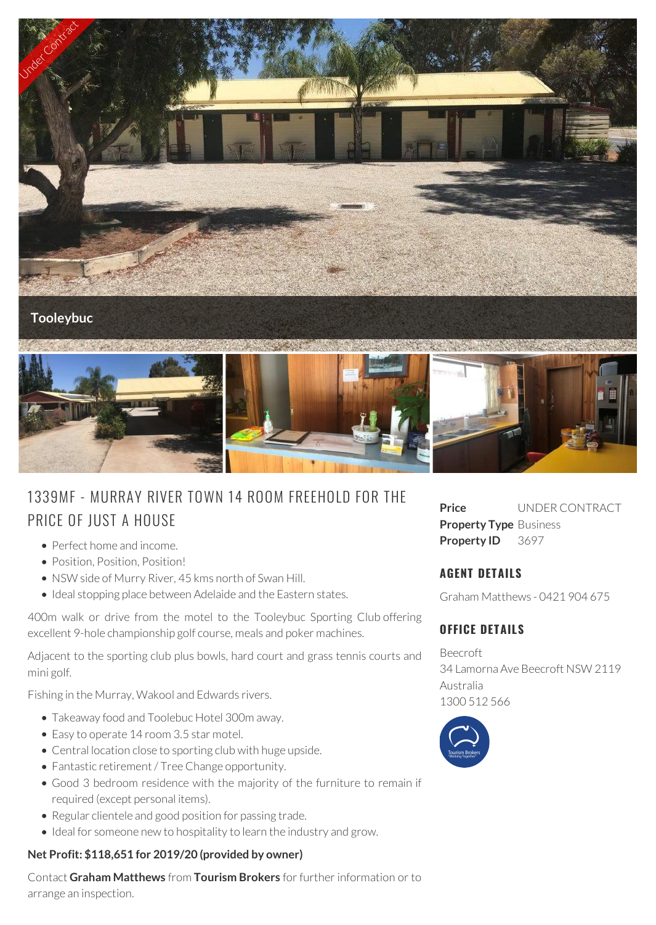

# 1339MF - MURRAY RIVER TOWN 14 ROOM FREEHOLD FOR THE PRICE OF JUST A HOUSE

- Perfect home and income.
- Position, Position, Position!
- NSW side of Murry River, 45 kms north of Swan Hill.
- Ideal stopping place between Adelaide and the Eastern states.

400m walk or drive from the motel to the Tooleybuc Sporting Club offering excellent 9-hole championship golf course, meals and poker machines.

Adjacent to the sporting club plus bowls, hard court and grass tennis courts and mini golf.

Fishing in the Murray, Wakool and Edwards rivers.

- Takeaway food and Toolebuc Hotel 300m away.
- Easy to operate 14 room 3.5 star motel.
- Central location close to sporting club with huge upside.
- Fantastic retirement / Tree Change opportunity.
- Good 3 bedroom residence with the majority of the furniture to remain if required (except personal items).
- Regular clientele and good position for passing trade.
- Ideal for someone new to hospitality to learn the industry and grow.

#### **Net Profit: \$118,651 for 2019/20 (provided by owner)**

Contact **Graham Matthews** from **Tourism Brokers** for further information or to arrange an inspection.

**Price** UNDER CONTRACT **Property Type** Business Property ID 3697

## **AGENT DETAILS**

Graham Matthews - 0421 904 675

# **OFFICE DETAILS**

Beecroft 34 Lamorna Ave Beecroft NSW 2119 Australia 1300 512 566